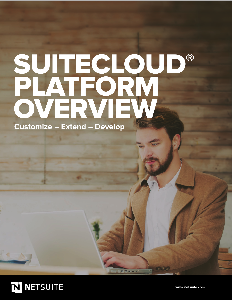# SUITECLOUD® PLATFORM OVERVIEW **Customize – Extend – Develop**

图 日 日 日 →



**<www.netsuite.com>**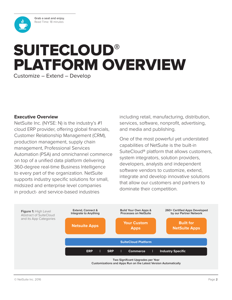**Grab a seat and enjoy.** Read Time: 18 minutes

<span id="page-1-0"></span>

### **Executive Overview**

NetSuite Inc. (NYSE: N) is the industry's #1 cloud ERP provider, offering global financials, Customer Relationship Management (CRM), production management, supply chain management, Professional Services Automation (PSA) and omnichannel commerce on top of a unified data platform delivering 360-degree real-time Business Intelligence to every part of the organization. NetSuite supports industry specific solutions for small, midsized and enterprise level companies in product- and service-based industries

including retail, manufacturing, distribution, services, software, nonprofit, advertising, and media and publishing.

One of the most powerful yet understated capabilities of NetSuite is the built-in SuiteCloud® platform that allows customers, system integrators, solution providers, developers, analysts and independent software vendors to customize, extend, integrate and develop innovative solutions that allow our customers and partners to dominate their competition.

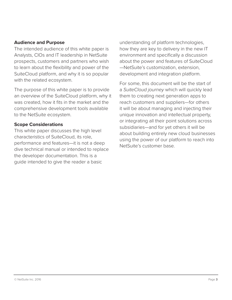### **Audience and Purpose**

The intended audience of this white paper is Analysts, CIOs and IT leadership in NetSuite prospects, customers and partners who wish to learn about the flexibility and power of the SuiteCloud platform, and why it is so popular with the related ecosystem.

The purpose of this white paper is to provide an overview of the SuiteCloud platform, why it was created, how it fits in the market and the comprehensive development tools available to the NetSuite ecosystem.

### **Scope Considerations**

This white paper discusses the high level characteristics of SuiteCloud, its role, performance and features—it is not a deep dive technical manual or intended to replace the developer documentation. This is a guide intended to give the reader a basic

understanding of platform technologies, how they are key to delivery in the new IT environment and specifically a discussion about the power and features of SuiteCloud —NetSuite's customization, extension, development and integration platform.

For some, this document will be the start of a *SuiteCloud journey* which will quickly lead them to creating next generation apps to reach customers and suppliers—for others it will be about managing and injecting their unique innovation and intellectual property, or integrating all their point solutions across subsidiaries—and for yet others it will be about building entirely new cloud businesses using the power of our platform to reach into NetSuite's customer base.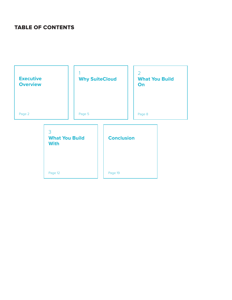### TABLE OF CONTENTS

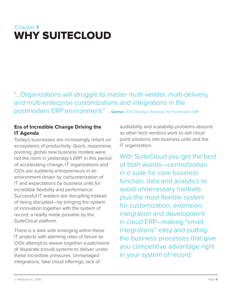### <span id="page-4-0"></span>Chapter **1**  WHY SUITECLOUD

"...Organizations will struggle to master multi-vendor, multi-delivery, and multi-enterprise customizations and integrations in the postmodern ERP environment." — **Gartner,** 2015 Strategic Roadmap for Postmodern ERP

### **Era of Incredible Change Driving the IT Agenda**

Today's businesses are increasingly reliant on ecosystems of productivity. Quick, responsive, pivoting, global new business models were *not the norm in yesterday's ERP*. In this period of accelerating change, IT organizations and CIOs are suddenly entrepreneurs in an environment driven by consumerization of IT and expectations by business units for incredible flexibility and performance. Successful IT leaders are disrupting instead of being disrupted—by bringing the system of innovation together with the system of record; a reality made possible by the SuiteCloud platform.

There is a dark side emerging within these IT projects with alarming rates of failure as CIOs attempt to weave together a patchwork of disparate (cloud) systems to deliver under these incredible pressures. Unmanaged integrations, fake cloud offerings, lack of

auditability and scalability problems abound as other tech vendors work to sell cloud point solutions into business units and the IT organization.

With SuiteCloud you get the best of both worlds—*centralization in a suite* for core business function, data and analytics to avoid unnecessary hairballs plus the most flexible system for customization, extension, integration and development in cloud ERP—making "smart integrations" easy and putting the business processes that give you competitive advantage right in your system of record.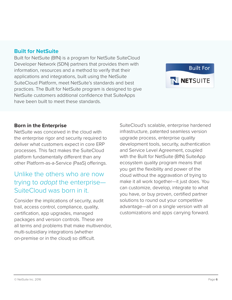### **Built for NetSuite**

Built for NetSuite (BfN) is a program for NetSuite SuiteCloud Developer Network (SDN) partners that provides them with information, resources and a method to verify that their applications and integrations, built using the NetSuite SuiteCloud Platform, meet NetSuite's standards and best practices. The Built for NetSuite program is designed to give NetSuite customers additional confidence that SuiteApps have been built to meet these standards.

#### **Born in the Enterprise**

NetSuite was conceived in the cloud with the enterprise rigor and security required to deliver what customers expect in core ERP processes. This fact makes the SuiteCloud platform fundamentally different than any other Platform-as-a-Service (PaaS) offerings.

### Unlike the others who are now trying to *adopt* the enterprise— SuiteCloud was born in it.

Consider the implications of security, audit trail, access control, compliance, quality, certification, app upgrades, managed packages and version controls. These are all terms and problems that make multivendor, multi-subsidiary integrations (whether on-premise or in the cloud) so difficult.

SuiteCloud's scalable, enterprise hardened infrastructure, patented seamless version upgrade process, enterprise quality development tools, security, authentication and Service Level Agreement, coupled with the Built for NetSuite (BfN) SuiteApp ecosystem quality program means that you get the flexibility and power of the cloud without the aggravation of trying to make it all work together—it just does. You can customize, develop, integrate to what you have, or buy proven, certified partner solutions to round out your competitive advantage—all on a single version with all customizations and apps carrying forward.

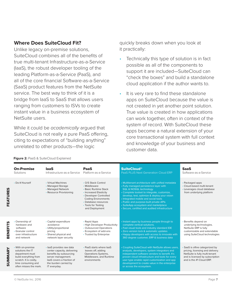### **Where Does SuiteCloud Fit?**

Unlike legacy on-premise solutions, SuiteCloud combines all of the benefits of true multi-tenant Infrastructure-as-a-Service (IaaS), the robust developer tooling of the leading Platform-as-a-Service (PaaS), and all of the core financial Software-as-a-Service (SaaS) product features from the NetSuite service. The best way to think of it is a bridge from IaaS to SaaS that allows users ranging from customers to ISVs to create instant value in a business ecosystem of NetSuite users.

While it could be *academically* argued that SuiteCloud is not really a pure PaaS offering, citing to expectations of "building anything" unrelated to other products—the logic

quickly breaks down when you look at it practically:

- Technically this type of solution is in fact possible as all of the components to support it are included—SuiteCloud can "check the boxes" and build a standalone cloud application if the author wants to.
- It is very rare to find these standalone apps on SuiteCloud because the value is not created in yet another point solution. True value is created in how applications can work together, often in context of the system of record. With SuiteCloud these apps become a natural extension of your core transactional system with full context and knowledge of your business and customer data.

| <b>On-Premise</b><br>Solutions                                                                                                                              | <b>laaS</b><br>Infrastructure-as-a-Service                                                                                                                                     | PaaS<br>Platform-as-a-Service                                                                                                                                                                                   | <b>SuiteCloud®</b><br>PaaS PLUS Next Generation Cloud ERP                                                                                                                                                                                                                                                                                                                                                   | <b>SaaS</b><br>Software-as-a-Service                                                                                                                                |
|-------------------------------------------------------------------------------------------------------------------------------------------------------------|--------------------------------------------------------------------------------------------------------------------------------------------------------------------------------|-----------------------------------------------------------------------------------------------------------------------------------------------------------------------------------------------------------------|-------------------------------------------------------------------------------------------------------------------------------------------------------------------------------------------------------------------------------------------------------------------------------------------------------------------------------------------------------------------------------------------------------------|---------------------------------------------------------------------------------------------------------------------------------------------------------------------|
| • Do-It-Yourself                                                                                                                                            | • Virtual Machines<br>• Managed Storage<br>• Managed Network<br>• Resource Provisioning                                                                                        | • O/S Stack Control<br>• Middleware<br>• Basic Runtime Stack<br>• Increased Elasticity<br>• Developer Controlled<br><b>Coding Environments</b><br>• Database resources<br>• Tools for Testing<br>and Deployment | • Multitenant architecture with unified metadata<br>• Fully managed persistence layer with<br><b>SQL &amp; NOSQL technology</b><br>• Complete toolset to integrate, customize,<br>develop, test, optimize & deploy your vision<br>· Integrated mobile and social tools<br>• Public and purpose-built private APIs<br>• SuiteApp ecosystem and marketplace<br>• Secure, certified and audited infrastructure | • Packaged apps<br>• Cloud-based multi-tenant<br>• Leverages cloud database<br>from underlying platform                                                             |
| • Ownership of<br>hardware and<br>software<br>• Granular control<br>over infrastructure<br>and network                                                      | • Capital expenditure<br>avoidance<br>• Utility/proportional<br>pricing<br>• Shared physical and<br>network layer security                                                     | • Rapid Apps<br>• High Developer Productivity<br>• Outsourced Operations<br>• Ecosystem of add-ons<br>• Trusted by Enterprise                                                                                   | • Instant apps by business people through to<br>complete vertical solutions.<br>• Fast visual tools and industry standard IDE<br>· Zero version lock & automatic updates<br>• Happy developers with access to innovate with<br>360 degree customer, ERP & business data                                                                                                                                     | • Benefits depend on<br>underlying technologies.<br>NetSuite ERP is fully<br>customizable and extendable<br>using SuiteCloud technologies                           |
| • With on-premise<br>solutions the IT<br>department must<br>build everything from<br>scratch. It is costly,<br>time consuming and<br>often misses the mark. | · laaS provides raw data<br>center capacity, delivering<br>benefits by outsourcing<br>server management.<br>laaS covers a fraction of<br>the burden carried by<br>IT everyday. | • PaaS starts where laaS<br>leaves off, adding<br><b>Operations Systems,</b><br>Middleware, and Runtime<br>environments                                                                                         | • Coupling SuiteCloud with NetSuite allows users,<br>analysts, developers, system integrators and<br>independent software vendors to benefit. It's<br>proven cloud infrastructure and tools for every<br>user type enable rapid customization and app<br>development to create value in the enterprise<br>or across the ecosystem.                                                                          | • SaaS is oftne categorized by<br>pricing, licensing and delivery.<br>NetSuite is fully multi-tenant<br>and is licensed by subscription<br>and is the #1 Cloud ERP. |

#### **Figure 2:** PaaS & SuiteCloud Explained

FEATURES

**FEATURES** 

BENEFITS

SUMMARY BENEFITS

SUMMARY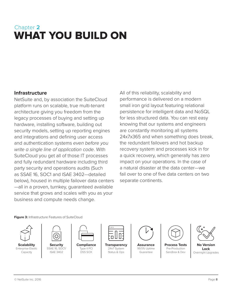### <span id="page-7-0"></span>Chapter **2**  WHAT YOU BUILD ON

### **Infrastructure**

NetSuite and, by association the SuiteCloud platform runs on scalable, true multi-tenant architecture giving you freedom from the legacy processes of buying and setting up hardware, installing software, building out security models, setting up reporting engines and integrations and defining user access and authentication systems *even before you write a single line of application code*. With SuiteCloud you get all of those IT processes and fully redundant hardware including third party security and operations audits (Such as SSAE 16, SOC1 and ISAE 3402—detailed below), housed in multiple failover data centers —all in a proven, turnkey, guaranteed available service that grows and scales with you as your business and compute needs change.

All of this reliability, scalability and performance is delivered on a modern small iron grid layout featuring relational persistence for intelligent data and NoSQL for less structured data. You can rest easy knowing that our systems and engineers are constantly monitoring all systems 24x7x365 and when something does break, the redundant failovers and hot backup recovery system and processes kick in for a quick recovery, which generally has zero impact on your operations. In the case of a natural disaster at the data center—we fail over to one of five data centers on two separate continents.

#### **Figure 3:** Infrastructure Features of SuiteCloud



**Scalability** Enterprise Elastic Capacity



**Security** SSAE 16, SOC1/ ISAE 3402



**Compliance** Type II PCI DSS SOX



**Transparency** 24x7 System Status & Ops



**Assurance** 99.5% Uptime Guarantee



Pre-Production Sandbox & Dev



**No Version Lock** Overnight Upgrades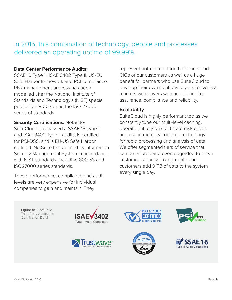In 2015, this combination of technology, people and processes delivered an operating uptime of 99.99%.

### **Data Center Performance Audits:**

SSAE 16 Type II, ISAE 3402 Type II, US-EU Safe Harbor framework and PCI compliance. Risk management process has been modelled after the National Institute of Standards and Technology's (NIST) special publication 800-30 and the ISO 27000 series of standards.

**Security Certifications:** NetSuite/

SuiteCloud has passed a SSAE 16 Type II and ISAE 3402 Type II audits, is certified for PCI-DSS, and is EU-US Safe Harbor certified. NetSuite has defined its Information Security Management System in accordance with NIST standards, including 800-53 and ISO27000 series standards.

These performance, compliance and audit levels are very expensive for individual companies to gain and maintain. They

represent both comfort for the boards and CIOs of our customers as well as a huge benefit for partners who use SuiteCloud to develop their own solutions to go after vertical markets with buyers who are looking for assurance, compliance and reliability.

### **Scalability**

SuiteCloud is highly performant too as we constantly tune our multi-level caching, operate entirely on solid state disk drives and use in-memory compute technology for rapid processing and analysis of data. We offer segmented tiers of service that can be tailored and even upgraded to serve customer capacity. In aggregate our customers add 9 TB of data to the system every single day.

**Figure 4:** SuiteCloud Third Party Audits and Certification Detail









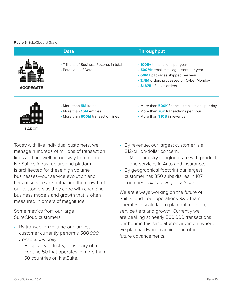#### **Figure 5: SuiteCloud at Scale**

|                  | <b>Data</b>                                                                                                 | <b>Throughput</b>                                                                                                                                                                                |
|------------------|-------------------------------------------------------------------------------------------------------------|--------------------------------------------------------------------------------------------------------------------------------------------------------------------------------------------------|
| <b>AGGREGATE</b> | • Trillions of Business Records in total<br>• Petabytes of Data                                             | • 100B+ transactions per year<br>• <b>500M</b> + email messages sent per year<br>• <b>60M</b> + packages shipped per year<br>. 2.4M orders processed on Cyber Monday<br>• \$187B of sales orders |
| <b>LARGE</b>     | • More than <b>5M</b> items<br>• More than <b>15M</b> entities<br>• More than <b>600M</b> transaction lines | • More than <b>500K</b> financial transactions per day<br>• More than <b>70K</b> transactions per hour<br>• More than <b>\$10B</b> in revenue                                                    |

Today with live individual customers, we manage hundreds of millions of transaction lines and are well on our way to a billion. NetSuite's infrastructure and platform is architected for these high volume businesses—our service evolution and tiers of service are outpacing the growth of our customers as they cope with changing business models and growth that is often measured in orders of magnitude.

Some metrics from our large SuiteCloud customers:

- By transaction volume our largest customer currently performs *500,000 transactions daily*.
	- Hospitality industry, subsidiary of a Fortune 50 that operates in more than 50 countries on NetSuite.
- By revenue, our largest customer is a \$12-billion-dollar concern.
	- Multi-Industry conglomerate with products and services in Auto and Insurance.
- By geographical footprint our largest customer has 350 subsidiaries in 107 countries—*all in a single instance*.

We are always working on the future of SuiteCloud—our operations R&D team operates a scale lab to plan optimization, service tiers and growth. Currently we are peaking at nearly 500,000 transactions per hour in this simulator environment where we plan hardware, caching and other future advancements.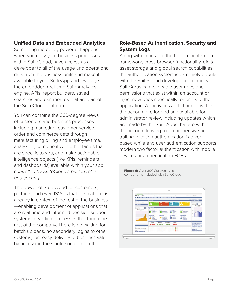### **Unified Data and Embedded Analytics**

Something incredibly powerful happens when you unify your business processes within SuiteCloud, have access as a developer to all of the usage and operational data from the business units and make it available to your SuiteApp and leverage the embedded real-time SuiteAnalytics engine, APIs, report builders, saved searches and dashboards that are part of the SuiteCloud platform.

You can combine the 360-degree views of customers and business processes including marketing, customer service, order and commerce data through manufacturing billing and employee time, analyze it, combine it with other facets that are specific to you, and make actionable intelligence objects (like KPIs, reminders and dashboards) available within your app *controlled by SuiteCloud's built-in roles and security.*

The power of SuiteCloud for customers, partners and even ISVs is that the platform is already in context of the rest of the business —enabling development of applications that are real-time and informed decision support systems or vertical processes that touch the rest of the company. There is no waiting for batch uploads, no secondary logins to other systems, just easy delivery of business value by accessing the single source of truth.

### **Role-Based Authentication, Security and System Logs**

Along with things like the built-in localization framework, cross browser functionality, digital asset storage and global search capabilities, the authentication system is extremely popular with the SuiteCloud developer community. SuiteApps can follow the user roles and permissions that exist within an account or inject new ones specifically for users of the application. All activities and changes within the account are logged and available for administrator review including updates which are made by the SuiteApps that are within the account leaving a comprehensive audit trail. Application authentication is tokenbased while end user authentication supports modern two factor authentication with mobile devices or authentication FOBs.

**Figure 6: Over 300 SuiteAnalytics** components included with SuiteCloud

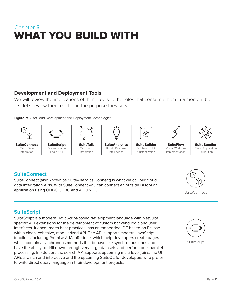### <span id="page-11-0"></span>Chapter **3**  WHAT YOU BUILD WITH

### **Development and Deployment Tools**

We will review the implications of these tools to the roles that consume them in a moment but first let's review them each and the purpose they serve.

**Figure 7:** SuiteCloud Development and Deployment Technologies





**SuiteConnect** Cloud Data Integration

**SuiteScript** Programmable Logic & UI

**SuiteTalk** Cloud App Integration



**SuiteAnalytics** Built-in Business Intelligence



Point-and-Click Customization

**SuiteFlow** Visual Workflow Implementation



**SuiteBundler** Cloud Application Distribution

### **SuiteConnect**

SuiteConnect (also known as SuiteAnalytics Connect) is what we call our cloud data integration APIs. With SuiteConnect you can connect an outside BI tool or application using ODBC, JDBC and ADO.NET. And South that the suite Connect suite Connect



### **SuiteScript**

SuiteScript is a modern, JavaScript-based development language with NetSuite specific API extensions for the development of custom backend logic and user interfaces. It encourages best practices, has an embedded IDE based on Eclipse with a clean, cohesive, modularized API. The API supports modern JavaScript functions including Promise & MapReduce, which help developers create pages which contain asynchronous methods that behave like synchronous ones and have the ability to drill down through very large datasets and perform bulk parallel processing. In addition, the search API supports upcoming multi-level joins, the UI APIs are rich and interactive and the upcoming SuiteQL for developers who prefer to write direct query language in their development projects.



**SuiteScript**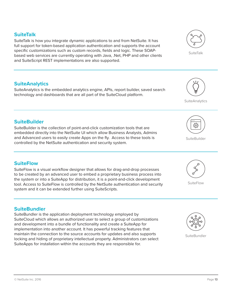### **SuiteTalk**

SuiteTalk is how you integrate dynamic applications to and from NetSuite. It has full support for token-based application authentication and supports the account specific customizations such as custom records, fields and logic. These SOAPbased web services are currently operating with Java, .Net, PHP and other clients and SuiteScript REST implementations are also supported.

### **SuiteAnalytics**

SuiteAnalytics is the embedded analytics engine, APIs, report builder, saved search technology and dashboards that are all part of the SuiteCloud platform.

### **SuiteBuilder**

SuiteBuilder is the collection of point-and-click customization tools that are embedded directly into the NetSuite UI which allow Business Analysts, Admins and Advanced users to easily create Apps on the fly. Access to these tools is controlled by the NetSuite authentication and security system.

### **SuiteFlow**

SuiteFlow is a visual workflow designer that allows for drag-and-drop processes to be created by an advanced user to embed a proprietary business process into the system or into a SuiteApp for distribution, it is a point-and-click development tool. Access to SuiteFlow is controlled by the NetSuite authentication and security system and it can be extended further using SuiteScripts.

### **SuiteBundler**

SuiteBundler is the application deployment technology employed by SuiteCloud which allows an authorized user to select a group of customizations and development into a bundle of functionality and create a SuiteApp for implementation into another account. It has powerful tracking features that maintain the connection to the source accounts for updates and also supports locking and hiding of proprietary intellectual property. Administrators can select SuiteApps for installation within the accounts they are responsible for.

**SuiteBundler** 





**SuiteFlow** 



**SuiteBuilder** 



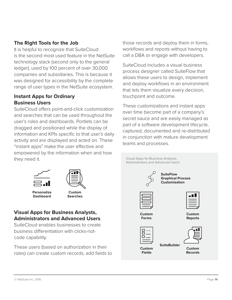### **The Right Tools for the Job**

It is helpful to recognize that SuiteCloud is the second most used feature in the NetSuite technology stack (second only to the general ledger), used by 100 percent of over 30,000 companies and subsidiaries. This is because it was designed for accessibility by the complete range of user types in the NetSuite ecosystem.

### **Instant Apps for Ordinary Business Users**

SuiteCloud offers point-and-click customization and searches that can be used throughout the user's roles and dashboards. Portlets can be dragged and positioned while the display of information and KPIs specific to that user's daily activity and are displayed and acted on. These "instant apps" make the user effective and empowered by the information when and how they need it.

those records and deploy them in forms, workflows and reports without having to call a DBA or engage with developers.

SuiteCloud includes a visual business process designer called SuiteFlow that allows these users to design, implement and deploy workflows in an environment that lets them visualize every decision, touchpoint and outcome.

These customizations and instant apps over time become part of a company's secret sauce and are easily managed as part of a software development lifecycle, captured, documented and re-distributed in conjunction with mature development teams and processes.

| $1 \cup 1$   |                                | Visual Apps for Business Analysts,<br>Administrators and Advanced Users |  |  |
|--------------|--------------------------------|-------------------------------------------------------------------------|--|--|
|              |                                | <b>SuiteFlow</b><br><b>Graphical Process</b><br><b>Customization</b>    |  |  |
|              | Custom<br><b>Forms</b>         | ≝<br><b>Custom</b><br><b>Reports</b>                                    |  |  |
| ۱ir<br>ls to | <b>Custom</b><br><b>Fields</b> | <b>SuiteBuilder</b><br><b>Custom</b><br><b>Records</b>                  |  |  |



**Personalize Dashboard**



### **Visual Apps for Business Analysts, Administrators and Advanced Users**

SuiteCloud enables businesses to create business differentiation with clicks-notcode capability.

These users (based on authorization in the roles) can create custom records, add fields

[© NetSuite Inc. 2016](http://www.netsuite.com) Page **14**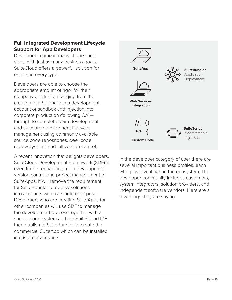### **Full Integrated Development Lifecycle Support for App Developers**

Developers come in many shapes and sizes, with just as many business goals. SuiteCloud offers a powerful solution for each and every type.

Developers are able to choose the appropriate amount of rigor for their company or situation ranging from the creation of a SuiteApp in a development account or sandbox and injection into corporate production (following QA) through to complete team development and software development lifecycle management using commonly available source code repositories, peer code review systems and full version control.

A recent innovation that delights developers, SuiteCloud Development Framework (SDF) is even further enhancing team development, version control and project management of SuiteApps. It will remove the requirement for SuiteBundler to deploy solutions into accounts within a single enterprise. Developers who are creating SuiteApps for other companies will use SDF to manage the development process together with a source code system and the SuiteCloud IDE then publish to SuiteBundler to create the commercial SuiteApp which can be installed in customer accounts.



In the developer category of user there are several important business profiles, each who play a vital part in the ecosystem. The developer community includes customers, system integrators, solution providers, and independent software vendors. Here are a few things they are saying.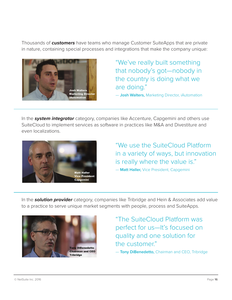Thousands of *customers* have teams who manage Customer SuiteApps that are private in nature, containing special processes and integrations that make the company unique:



"We've really built something that nobody's got—nobody in the country is doing what we are doing."

— **Josh Walters,** Marketing Director, iAutomation

In the *system integrator* category, companies like Accenture, Capgemini and others use SuiteCloud to implement services as software in practices like M&A and Divestiture and even localizations.



"We use the SuiteCloud Platform in a variety of ways, but innovation is really where the value is."

— **Matt Haller,** Vice President, Capgemini

In the *solution provider* category, companies like Tribridge and Hein & Associates add value to a practice to serve unique market segments with people, process and SuiteApps.



"The SuiteCloud Platform was perfect for us—It's focused on quality and one solution for the customer." — **Tony DiBenedetto,** Chairman and CEO, Tribridge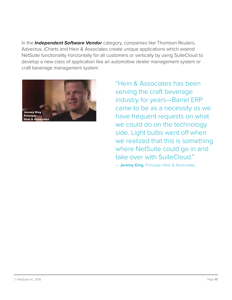In the *Independent Software Vendor* category, companies like Thomson Reuters, Advectus, iCharts and Hein & Associates create unique applications which extend NetSuite functionality horizontally for all customers or vertically by using SuiteCloud to develop a new class of application like an automotive dealer management system or craft beverage management system.



"Hein & Associates has been serving the craft beverage industry for years—Barrel ERP came to be as a necessity as we have frequent requests on what we could do on the technology side. Light bulbs went off when we realized that this is something where NetSuite could go in and take over with SuiteCloud."

— **Jeremy King,** Principal, Hein & Associates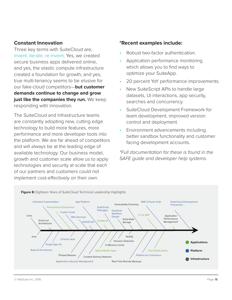### **Constant Innovation**

Three key terms with SuiteCloud are, invent, iterate, re-invent. Yes, we created secure business apps delivered online, and yes, the elastic compute infrastructure created a foundation for growth, and yes, true multi-tenancy seems to be elusive for our fake-cloud competitors—**but customer demands continue to change and grow just like the companies they run.** We keep responding with innovation.

The SuiteCloud and Infrastructure teams are constantly adopting new, cutting edge technology to build more features, more performance and more developer tools into the platform. We are far ahead of competitors and will always be at the leading edge of available technology. Our business model, growth and customer scale allow us to apply technologies and security at scale that each of our partners and customers could not implement cost-effectively on their own.

### **\*Recent examples include:**

- Robust two-factor authentication.
- Application performance monitoring which allows you to find ways to optimize your SuiteApp.
- 20 percent YoY performance improvements.
- New SuiteScript APIs to handle large datasets, UI interactions, app security, searches and concurrency.
- SuiteCloud Development Framework for team development, improved version control and deployment.
- Environment advancements including better sandbox functionality and customer facing development accounts.

*\*Full documentation for these is found in the SAFE guide and developer help systems.*

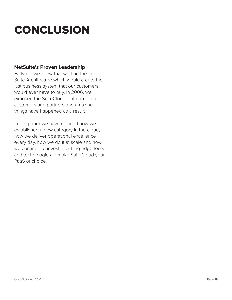# <span id="page-18-0"></span>**CONCLUSION**

### **NetSuite's Proven Leadership**

Early on, we knew that we had the right Suite Architecture which would create the last business system that our customers would ever have to buy. In 2006, we exposed the SuiteCloud platform to our customers and partners and amazing things have happened as a result.

In this paper we have outlined how we established a new category in the cloud, how we deliver operational excellence every day, how we do it at scale and how we continue to invest in cutting edge tools and technologies to make SuiteCloud your PaaS of choice.